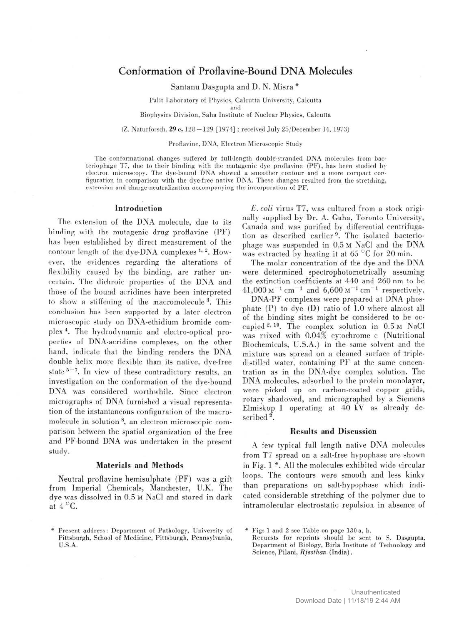## Conformation of Proflavine-Bound DNA Molecules

Santanu Dasgupta and D. N. Misra \*

Palit Laboratory of Physics, Calcutta University, Calcutta

and

Biophysics Division, Saha Institute of Nuclear Physics, Calcutta

(Z. Naturforsch. 29 c, 128 —129 [1974] ; received July 25/December 14, 1973)

Proflavine, DNA, Electron Microscopic Study

The conformational changes suffered by full-length double-stranded DNA molecules from bacteriophage T7, due to their binding with the mutagenic dye proflavine (PF), has been studied by electron microscopy. The dye-bound DNA showed a smoother contour and a more compact configuration in comparison with the dye-free native DNA. These changes resulted from the stretching, extension and charge-neutralization accompanying the incorporation of PF.

## Introduction

The extension of the DNA molecule, due to its binding with the mutagenic drug proflavine (PF) has been established by direct measurement of the contour length of the dye-DNA complexes  $1, 2$ . However, the evidences regarding the alterations of flexibility caused by the binding, are rather uncertain. The dichroic properties of the DNA and those of the bound acridines have been interpreted to show a stiffening of the macromolecule<sup>3</sup>. This conclusion has been supported by a later electron microscopic study on DNA-ethidium bromide complex 4. The hydrodynamic and electro-optical properties of DNA-acridine complexes, on the other hand, indicate that the binding renders the DNA double helix more flexible than its native, dve-free state  $5-7$ . In view of these contradictory results, an investigation on the conformation of the dye-bound DNA was considered worthwhile. Since electron micrographs of DNA furnished a visual representation of the instantaneous configuration of the macromolecule in solution 8, an electron microscopic comparison between the spatial organization of the free and PF-bound DNA was undertaken in the present study.

## Materials and Methods

Neutral proflavine hemisulphate (PF) was a gift from Imperial Chemicals, Manchester, U.K. The dye was dissolved in 0.5 M NaCl and stored in dark at  $4^{\circ}$ C.

E. coli virus T7, was cultured from a stock originally supplied by Dr. A. Guha, Toronto University, Canada and was purified by differential centrifugation as described earlier<sup>9</sup>. The isolated bacteriophage was suspended in 0.5 M NaCl and the DNA was extracted by heating it at 65 °C for 20 min.

The molar concentration of the dye and the DNA were determined spectrophotometrically assuming the extinction coefficients at 440 and 260 nm to be  $41,000 \text{ M}^{-1} \text{ cm}^{-1}$  and  $6,600 \text{ M}^{-1} \text{ cm}^{-1}$  respectively.

DNA-PF complexes were prepared at DNA phosphate (P) to dye (D) ratio of 1.0 where almost all of the binding sites might be considered to be occupied 2> 10. The complex solution in 0.5 M NaCl was mixed with 0.04% cytochrome c (Nutritional Biochemicals, U.S.A.) in the same solvent and the mixture was spread on a cleaned surface of tripledistilled water, containing PF at the same concentration as in the DNA-dye complex solution. The DNA molecules, adsorbed to the protein monolayer, were picked up on carbon-coated copper grids, rotary shadowed, and micrographed by a Siemens Elmiskop I operating at 40 kV as already described<sup>2</sup>.

## Results and Discussion

A few typical full length native DNA molecules from T7 spread on a salt-free hypophase are shown in Fig. 1 \*. All the molecules exhibited wide circular loops. The contours were smooth and less kinky than preparations on salt-hypophase which indicated considerable stretching of the polymer due to intramolecular electrostatic repulsion in absence of

\* Figs 1 and 2 see Table on page 130 a, b.

Requests for reprints should be sent to S. Dasgupta, Department of Biology, Birla Institute of Technology and Science, Pilani, *Rjasthan* (India).

<sup>\*</sup> Present address: Department of Pathology, University of Pittsburgh, School of Medicine, Pittsburgh, Pennsylvania, U.S.A.